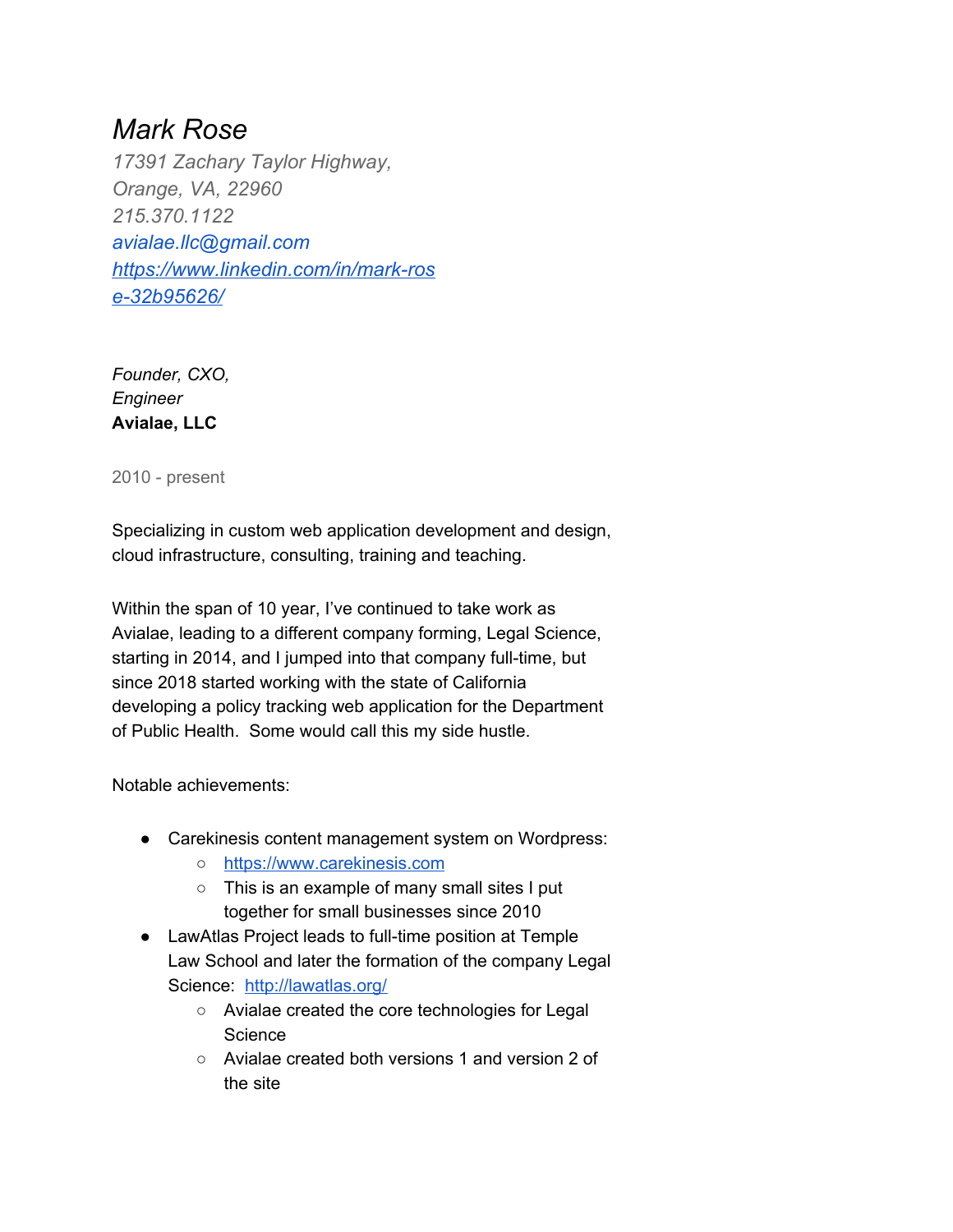# *Mark Rose*

*17391 Zachary Taylor Highway, Orange, VA, 22960 215.370.1122 avialae.llc@gmail.com https://www.linkedin.com/in/mark-ros e-32b95626/*

*Founder, CXO, Engineer* **Avialae, LLC**

2010 - present

Specializing in custom web application development and design, cloud infrastructure, consulting, training and teaching.

Within the span of 10 year, I've continued to take work as Avialae, leading to a different company forming, Legal Science, starting in 2014, and I jumped into that company full-time, but since 2018 started working with the state of California developing a policy tracking web application for the Department of Public Health. Some would call this my side hustle.

Notable achievements:

- Carekinesis content management system on Wordpress:
	- https://www.carekinesis.com
	- This is an example of many small sites I put together for small businesses since 2010
- LawAtlas Project leads to full-time position at Temple Law School and later the formation of the company Legal Science: http://lawatlas.org/
	- Avialae created the core technologies for Legal **Science**
	- Avialae created both versions 1 and version 2 of the site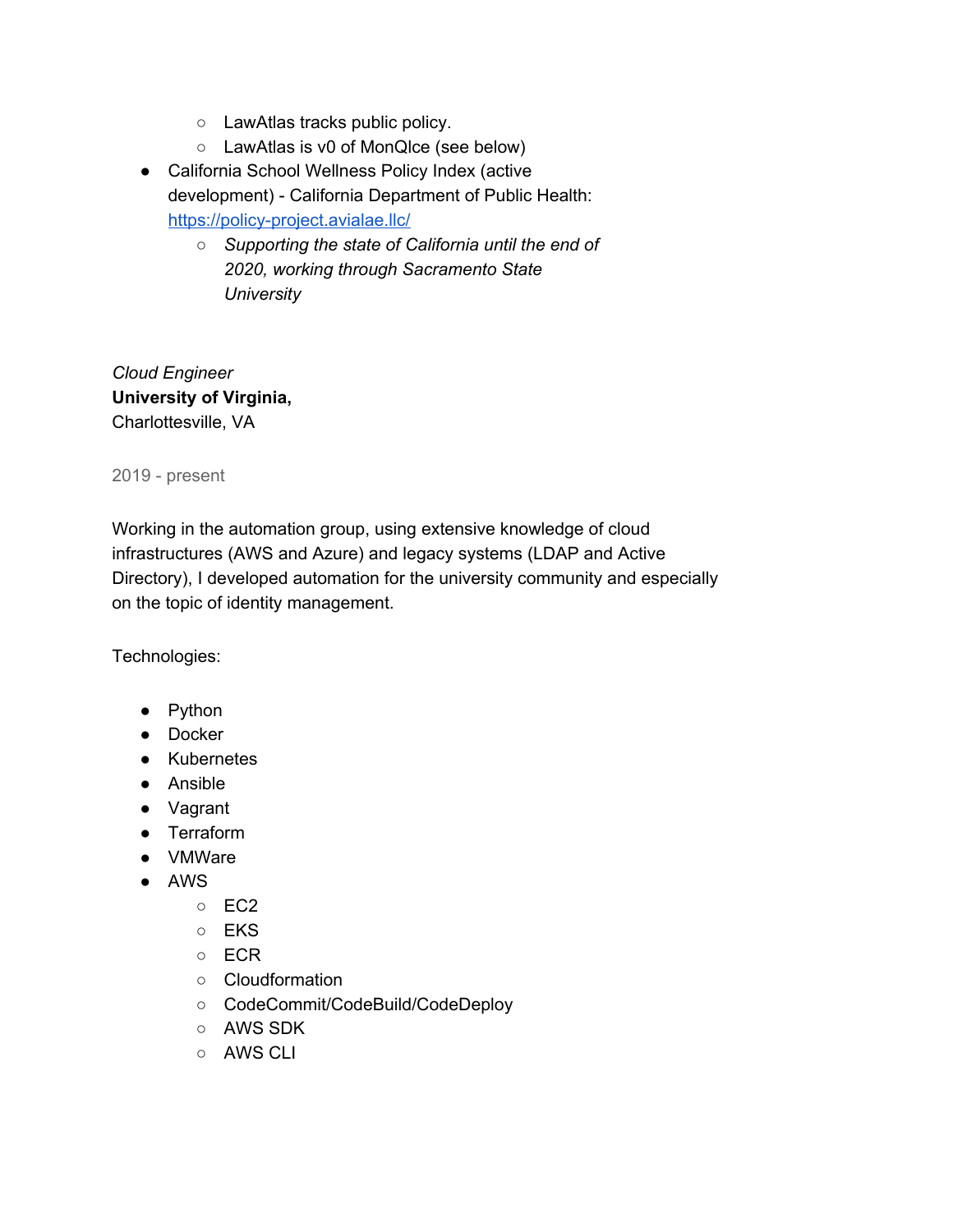- LawAtlas tracks public policy.
- LawAtlas is v0 of MonQlce (see below)
- California School Wellness Policy Index (active development) - California Department of Public Health: https://policy-project.avialae.llc/
	- *○ Supporting the state of California until the end of 2020, working through Sacramento State University*

*Cloud Engineer* **University of Virginia,** Charlottesville, VA

2019 - present

Working in the automation group, using extensive knowledge of cloud infrastructures (AWS and Azure) and legacy systems (LDAP and Active Directory), I developed automation for the university community and especially on the topic of identity management.

Technologies:

- Python
- Docker
- Kubernetes
- Ansible
- Vagrant
- Terraform
- VMWare
- AWS
	- EC2
	- EKS
	- ECR
	- Cloudformation
	- CodeCommit/CodeBuild/CodeDeploy
	- AWS SDK
	- AWS CLI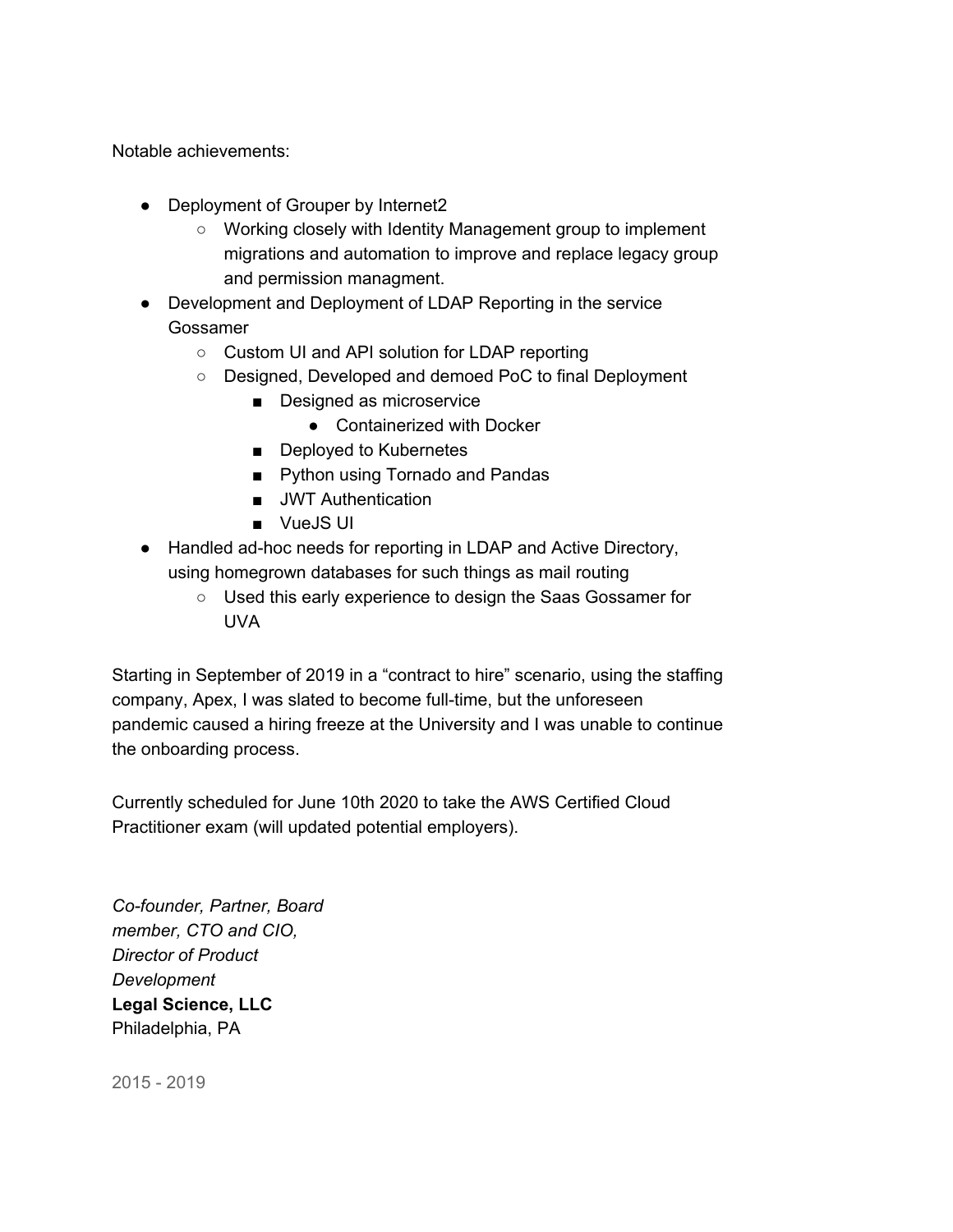Notable achievements:

- Deployment of Grouper by Internet2
	- Working closely with Identity Management group to implement migrations and automation to improve and replace legacy group and permission managment.
- Development and Deployment of LDAP Reporting in the service Gossamer
	- Custom UI and API solution for LDAP reporting
	- Designed, Developed and demoed PoC to final Deployment
		- Designed as microservice
			- Containerized with Docker
		- Deployed to Kubernetes
		- Python using Tornado and Pandas
		- JWT Authentication
		- VueJS UI
- Handled ad-hoc needs for reporting in LDAP and Active Directory, using homegrown databases for such things as mail routing
	- Used this early experience to design the Saas Gossamer for UVA

Starting in September of 2019 in a "contract to hire" scenario, using the staffing company, Apex, I was slated to become full-time, but the unforeseen pandemic caused a hiring freeze at the University and I was unable to continue the onboarding process.

Currently scheduled for June 10th 2020 to take the AWS Certified Cloud Practitioner exam (will updated potential employers).

*Co-founder, Partner, Board member, CTO and CIO, Director of Product Development* **Legal Science, LLC** Philadelphia, PA

2015 - 2019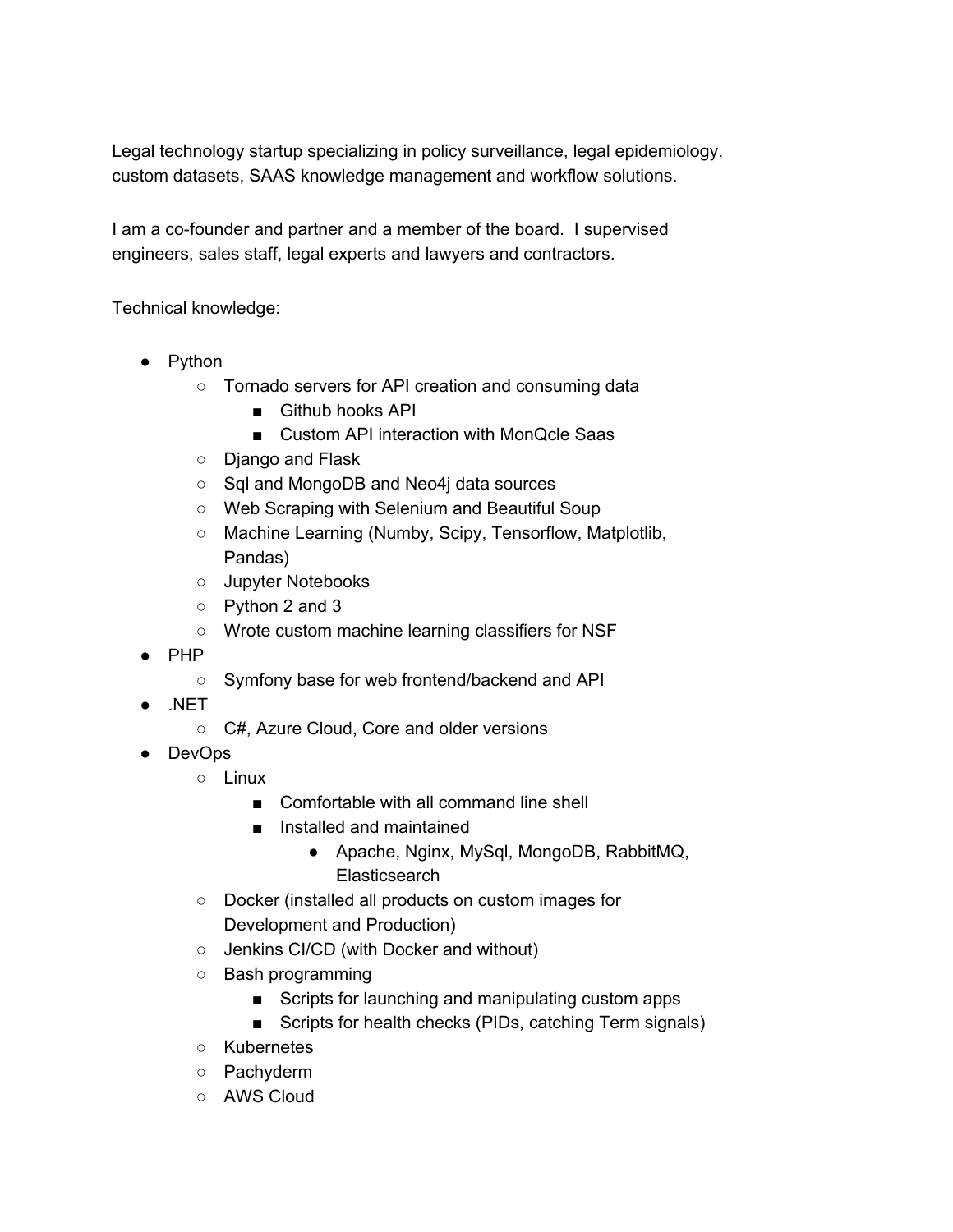Legal technology startup specializing in policy surveillance, legal epidemiology, custom datasets, SAAS knowledge management and workflow solutions.

I am a co-founder and partner and a member of the board. I supervised engineers, sales staff, legal experts and lawyers and contractors.

Technical knowledge:

- Python
	- Tornado servers for API creation and consuming data
		- Github hooks API
		- Custom API interaction with MonQcle Saas
	- Django and Flask
	- Sql and MongoDB and Neo4j data sources
	- Web Scraping with Selenium and Beautiful Soup
	- Machine Learning (Numby, Scipy, Tensorflow, Matplotlib, Pandas)
	- Jupyter Notebooks
	- Python 2 and 3
	- Wrote custom machine learning classifiers for NSF
- PHP
	- Symfony base for web frontend/backend and API
- $.$ NET
	- C#, Azure Cloud, Core and older versions
- DevOps
	- Linux
		- Comfortable with all command line shell
		- Installed and maintained
			- Apache, Nginx, MySql, MongoDB, RabbitMQ, **Elasticsearch**
	- Docker (installed all products on custom images for Development and Production)
	- Jenkins CI/CD (with Docker and without)
	- Bash programming
		- Scripts for launching and manipulating custom apps
		- Scripts for health checks (PIDs, catching Term signals)
	- Kubernetes
	- Pachyderm
	- AWS Cloud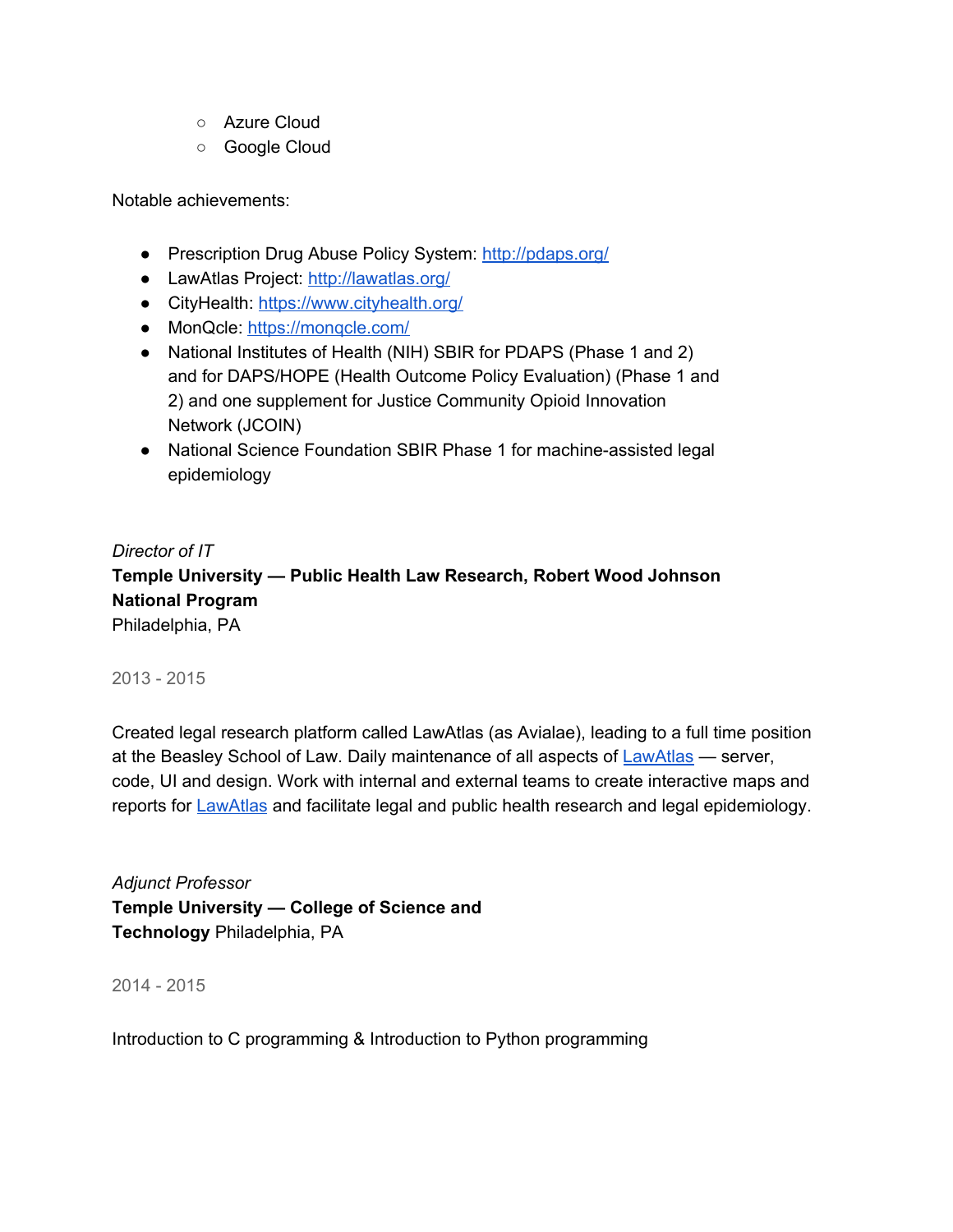- Azure Cloud
- Google Cloud

Notable achievements:

- Prescription Drug Abuse Policy System: http://pdaps.org/
- LawAtlas Project: http://lawatlas.org/
- CityHealth: https://www.cityhealth.org/
- MonQcle: https://monqcle.com/
- National Institutes of Health (NIH) SBIR for PDAPS (Phase 1 and 2) and for DAPS/HOPE (Health Outcome Policy Evaluation) (Phase 1 and 2) and one supplement for Justice Community Opioid Innovation Network (JCOIN)
- National Science Foundation SBIR Phase 1 for machine-assisted legal epidemiology

### *Director of IT*

**Temple University — Public Health Law Research, Robert Wood Johnson National Program**

Philadelphia, PA

### 2013 - 2015

Created legal research platform called LawAtlas (as Avialae), leading to a full time position at the Beasley School of Law. Daily maintenance of all aspects of LawAtlas — server, code, UI and design. Work with internal and external teams to create interactive maps and reports for **LawAtlas** and facilitate legal and public health research and legal epidemiology.

*Adjunct Professor* **Temple University — College of Science and Technology** Philadelphia, PA

2014 - 2015

Introduction to C programming & Introduction to Python programming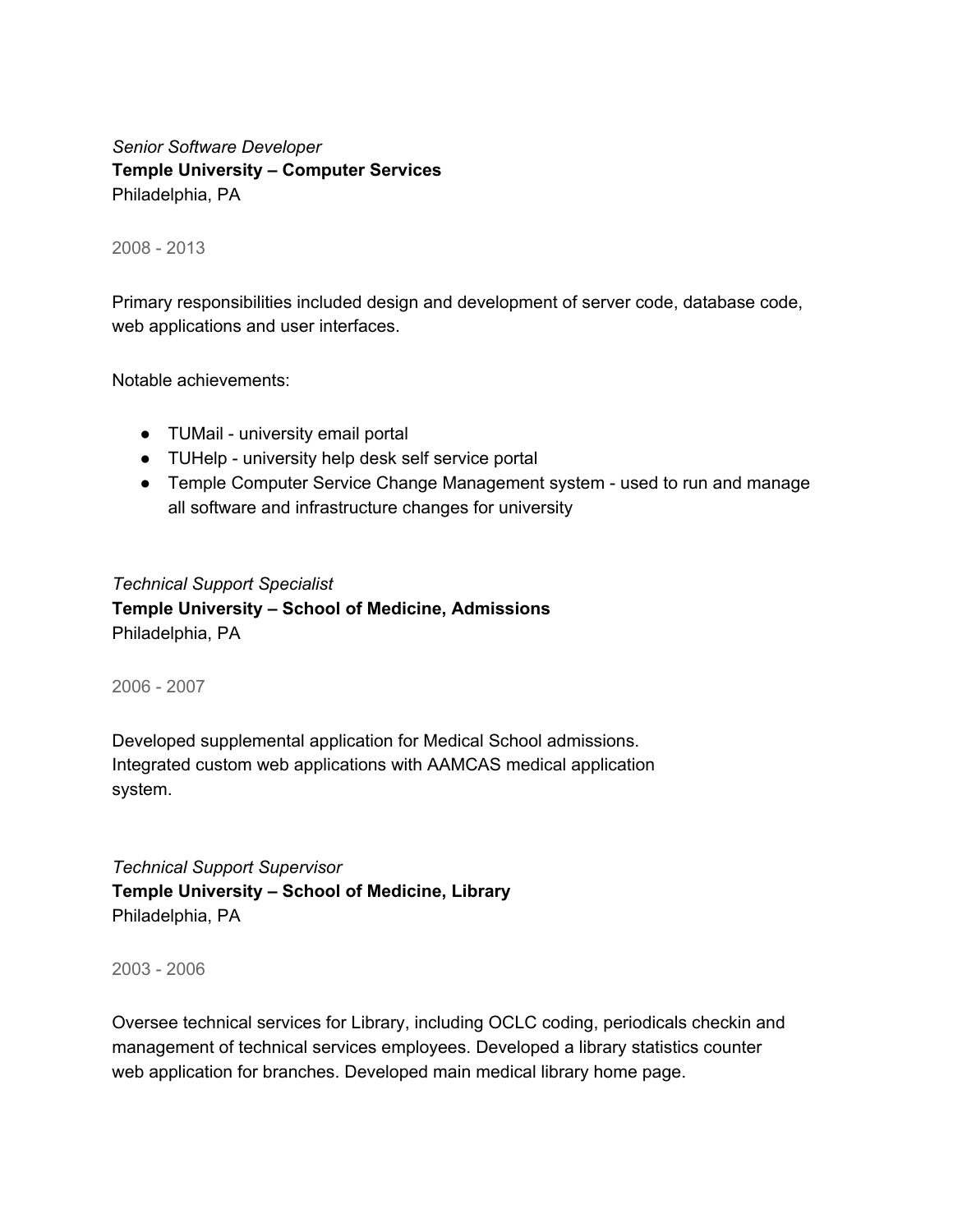*Senior Software Developer* **Temple University – Computer Services** Philadelphia, PA

2008 - 2013

Primary responsibilities included design and development of server code, database code, web applications and user interfaces.

Notable achievements:

- TUMail university email portal
- TUHelp university help desk self service portal
- Temple Computer Service Change Management system used to run and manage all software and infrastructure changes for university

#### *Technical Support Specialist*

**Temple University – School of Medicine, Admissions** Philadelphia, PA

2006 - 2007

Developed supplemental application for Medical School admissions. Integrated custom web applications with AAMCAS medical application system.

*Technical Support Supervisor* **Temple University – School of Medicine, Library** Philadelphia, PA

2003 - 2006

Oversee technical services for Library, including OCLC coding, periodicals checkin and management of technical services employees. Developed a library statistics counter web application for branches. Developed main medical library home page.